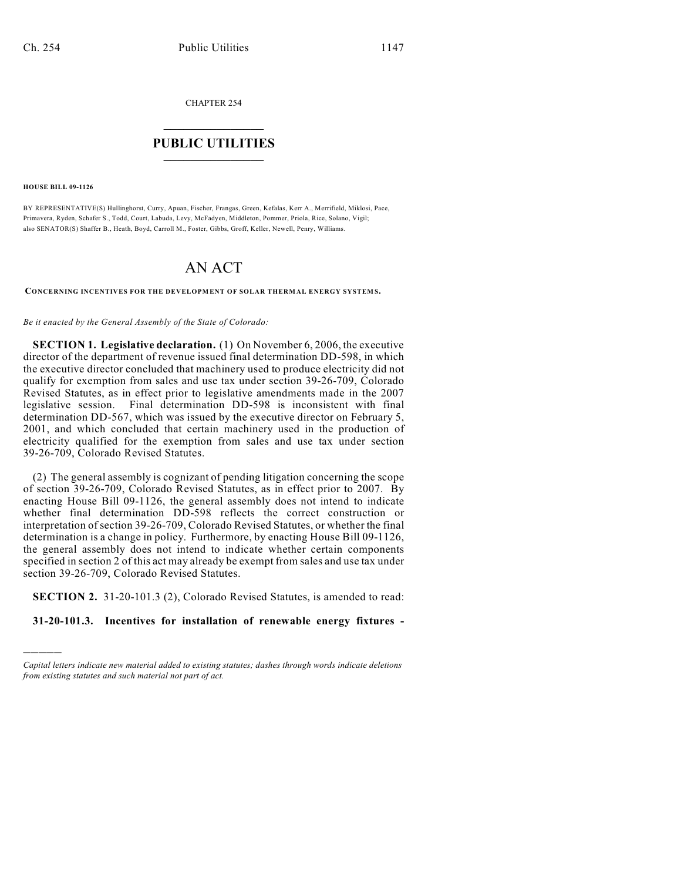CHAPTER 254

## $\overline{\phantom{a}}$  . The set of the set of the set of the set of the set of the set of the set of the set of the set of the set of the set of the set of the set of the set of the set of the set of the set of the set of the set o **PUBLIC UTILITIES** \_\_\_\_\_\_\_\_\_\_\_\_\_\_\_

**HOUSE BILL 09-1126**

)))))

BY REPRESENTATIVE(S) Hullinghorst, Curry, Apuan, Fischer, Frangas, Green, Kefalas, Kerr A., Merrifield, Miklosi, Pace, Primavera, Ryden, Schafer S., Todd, Court, Labuda, Levy, McFadyen, Middleton, Pommer, Priola, Rice, Solano, Vigil; also SENATOR(S) Shaffer B., Heath, Boyd, Carroll M., Foster, Gibbs, Groff, Keller, Newell, Penry, Williams.

## AN ACT

CONCERNING INCENTIVES FOR THE DEVELOPMENT OF SOLAR THERMAL ENERGY SYSTEMS.

## *Be it enacted by the General Assembly of the State of Colorado:*

**SECTION 1. Legislative declaration.** (1) On November 6, 2006, the executive director of the department of revenue issued final determination DD-598, in which the executive director concluded that machinery used to produce electricity did not qualify for exemption from sales and use tax under section 39-26-709, Colorado Revised Statutes, as in effect prior to legislative amendments made in the 2007 legislative session. Final determination DD-598 is inconsistent with final determination DD-567, which was issued by the executive director on February 5, 2001, and which concluded that certain machinery used in the production of electricity qualified for the exemption from sales and use tax under section 39-26-709, Colorado Revised Statutes.

(2) The general assembly is cognizant of pending litigation concerning the scope of section 39-26-709, Colorado Revised Statutes, as in effect prior to 2007. By enacting House Bill 09-1126, the general assembly does not intend to indicate whether final determination DD-598 reflects the correct construction or interpretation of section 39-26-709, Colorado Revised Statutes, or whether the final determination is a change in policy. Furthermore, by enacting House Bill 09-1126, the general assembly does not intend to indicate whether certain components specified in section 2 of this act may already be exempt from sales and use tax under section 39-26-709, Colorado Revised Statutes.

**SECTION 2.** 31-20-101.3 (2), Colorado Revised Statutes, is amended to read:

**31-20-101.3. Incentives for installation of renewable energy fixtures -**

*Capital letters indicate new material added to existing statutes; dashes through words indicate deletions from existing statutes and such material not part of act.*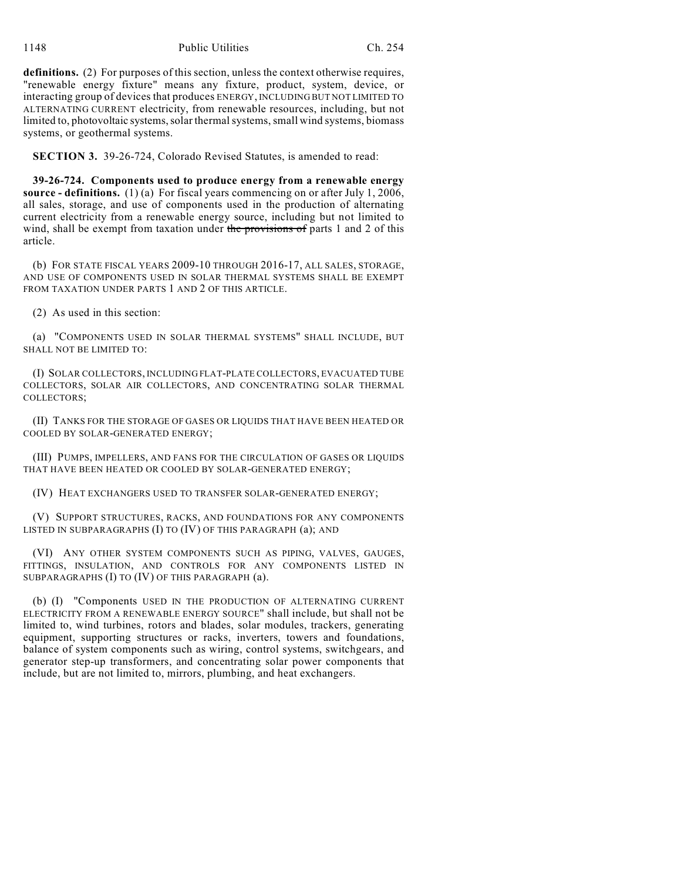definitions. (2) For purposes of this section, unless the context otherwise requires, "renewable energy fixture" means any fixture, product, system, device, or interacting group of devices that produces ENERGY, INCLUDING BUT NOT LIMITED TO ALTERNATING CURRENT electricity, from renewable resources, including, but not limited to, photovoltaic systems, solar thermal systems, small wind systems, biomass systems, or geothermal systems.

**SECTION 3.** 39-26-724, Colorado Revised Statutes, is amended to read:

**39-26-724. Components used to produce energy from a renewable energy source - definitions.** (1) (a) For fiscal years commencing on or after July 1, 2006, all sales, storage, and use of components used in the production of alternating current electricity from a renewable energy source, including but not limited to wind, shall be exempt from taxation under the provisions of parts 1 and 2 of this article.

(b) FOR STATE FISCAL YEARS 2009-10 THROUGH 2016-17, ALL SALES, STORAGE, AND USE OF COMPONENTS USED IN SOLAR THERMAL SYSTEMS SHALL BE EXEMPT FROM TAXATION UNDER PARTS 1 AND 2 OF THIS ARTICLE.

(2) As used in this section:

(a) "COMPONENTS USED IN SOLAR THERMAL SYSTEMS" SHALL INCLUDE, BUT SHALL NOT BE LIMITED TO:

(I) SOLAR COLLECTORS, INCLUDING FLAT-PLATE COLLECTORS, EVACUATED TUBE COLLECTORS, SOLAR AIR COLLECTORS, AND CONCENTRATING SOLAR THERMAL COLLECTORS;

(II) TANKS FOR THE STORAGE OF GASES OR LIQUIDS THAT HAVE BEEN HEATED OR COOLED BY SOLAR-GENERATED ENERGY;

(III) PUMPS, IMPELLERS, AND FANS FOR THE CIRCULATION OF GASES OR LIQUIDS THAT HAVE BEEN HEATED OR COOLED BY SOLAR-GENERATED ENERGY;

(IV) HEAT EXCHANGERS USED TO TRANSFER SOLAR-GENERATED ENERGY;

(V) SUPPORT STRUCTURES, RACKS, AND FOUNDATIONS FOR ANY COMPONENTS LISTED IN SUBPARAGRAPHS (I) TO (IV) OF THIS PARAGRAPH (a); AND

(VI) ANY OTHER SYSTEM COMPONENTS SUCH AS PIPING, VALVES, GAUGES, FITTINGS, INSULATION, AND CONTROLS FOR ANY COMPONENTS LISTED IN SUBPARAGRAPHS (I) TO (IV) OF THIS PARAGRAPH (a).

(b) (I) "Components USED IN THE PRODUCTION OF ALTERNATING CURRENT ELECTRICITY FROM A RENEWABLE ENERGY SOURCE" shall include, but shall not be limited to, wind turbines, rotors and blades, solar modules, trackers, generating equipment, supporting structures or racks, inverters, towers and foundations, balance of system components such as wiring, control systems, switchgears, and generator step-up transformers, and concentrating solar power components that include, but are not limited to, mirrors, plumbing, and heat exchangers.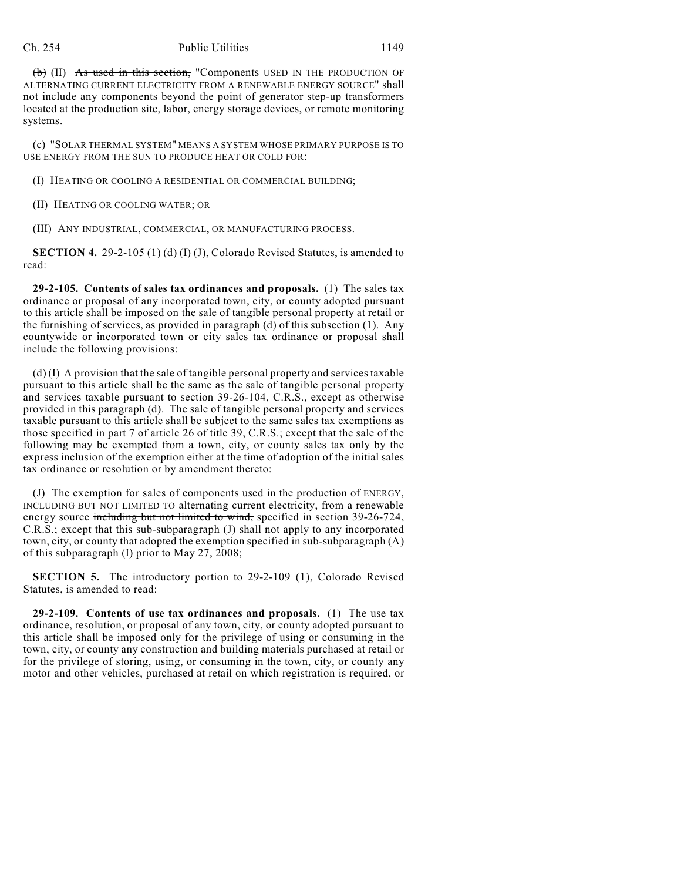## Ch. 254 Public Utilities 1149

(b) (II) As used in this section, "Components USED IN THE PRODUCTION OF ALTERNATING CURRENT ELECTRICITY FROM A RENEWABLE ENERGY SOURCE" shall not include any components beyond the point of generator step-up transformers located at the production site, labor, energy storage devices, or remote monitoring systems.

(c) "SOLAR THERMAL SYSTEM" MEANS A SYSTEM WHOSE PRIMARY PURPOSE IS TO USE ENERGY FROM THE SUN TO PRODUCE HEAT OR COLD FOR:

(I) HEATING OR COOLING A RESIDENTIAL OR COMMERCIAL BUILDING;

(II) HEATING OR COOLING WATER; OR

(III) ANY INDUSTRIAL, COMMERCIAL, OR MANUFACTURING PROCESS.

**SECTION 4.** 29-2-105 (1) (d) (I) (J), Colorado Revised Statutes, is amended to read:

**29-2-105. Contents of sales tax ordinances and proposals.** (1) The sales tax ordinance or proposal of any incorporated town, city, or county adopted pursuant to this article shall be imposed on the sale of tangible personal property at retail or the furnishing of services, as provided in paragraph (d) of this subsection (1). Any countywide or incorporated town or city sales tax ordinance or proposal shall include the following provisions:

(d) (I) A provision that the sale of tangible personal property and services taxable pursuant to this article shall be the same as the sale of tangible personal property and services taxable pursuant to section 39-26-104, C.R.S., except as otherwise provided in this paragraph (d). The sale of tangible personal property and services taxable pursuant to this article shall be subject to the same sales tax exemptions as those specified in part 7 of article 26 of title 39, C.R.S.; except that the sale of the following may be exempted from a town, city, or county sales tax only by the express inclusion of the exemption either at the time of adoption of the initial sales tax ordinance or resolution or by amendment thereto:

(J) The exemption for sales of components used in the production of ENERGY, INCLUDING BUT NOT LIMITED TO alternating current electricity, from a renewable energy source including but not limited to wind, specified in section 39-26-724, C.R.S.; except that this sub-subparagraph (J) shall not apply to any incorporated town, city, or county that adopted the exemption specified in sub-subparagraph (A) of this subparagraph (I) prior to May 27, 2008;

**SECTION 5.** The introductory portion to 29-2-109 (1), Colorado Revised Statutes, is amended to read:

**29-2-109. Contents of use tax ordinances and proposals.** (1) The use tax ordinance, resolution, or proposal of any town, city, or county adopted pursuant to this article shall be imposed only for the privilege of using or consuming in the town, city, or county any construction and building materials purchased at retail or for the privilege of storing, using, or consuming in the town, city, or county any motor and other vehicles, purchased at retail on which registration is required, or